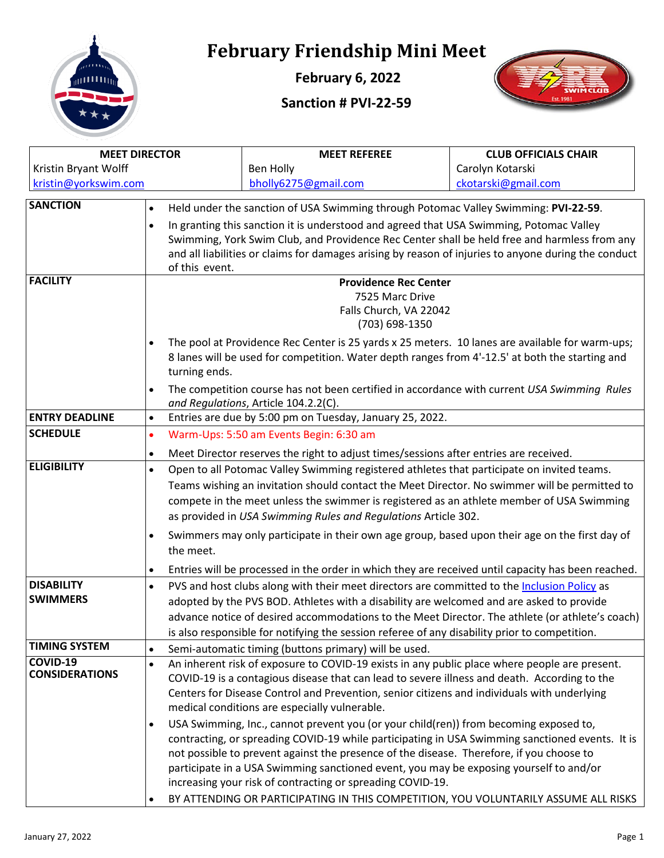

## **February Friendship Mini Meet**

**February 6, 2022**

## **Sanction # PVI-22-59**



| <b>MEET DIRECTOR</b>                     |                                                                                                                                                                                                       | <b>MEET REFEREE</b>                                                                                  | <b>CLUB OFFICIALS CHAIR</b> |  |  |  |
|------------------------------------------|-------------------------------------------------------------------------------------------------------------------------------------------------------------------------------------------------------|------------------------------------------------------------------------------------------------------|-----------------------------|--|--|--|
| Kristin Bryant Wolff                     |                                                                                                                                                                                                       | Ben Holly                                                                                            | Carolyn Kotarski            |  |  |  |
| kristin@yorkswim.com                     |                                                                                                                                                                                                       | bholly6275@gmail.com                                                                                 | ckotarski@gmail.com         |  |  |  |
| <b>SANCTION</b>                          | Held under the sanction of USA Swimming through Potomac Valley Swimming: PVI-22-59.<br>$\bullet$                                                                                                      |                                                                                                      |                             |  |  |  |
|                                          | $\bullet$                                                                                                                                                                                             | In granting this sanction it is understood and agreed that USA Swimming, Potomac Valley              |                             |  |  |  |
|                                          |                                                                                                                                                                                                       | Swimming, York Swim Club, and Providence Rec Center shall be held free and harmless from any         |                             |  |  |  |
|                                          |                                                                                                                                                                                                       | and all liabilities or claims for damages arising by reason of injuries to anyone during the conduct |                             |  |  |  |
| <b>FACILITY</b>                          |                                                                                                                                                                                                       | of this event.                                                                                       |                             |  |  |  |
|                                          |                                                                                                                                                                                                       | <b>Providence Rec Center</b><br>7525 Marc Drive                                                      |                             |  |  |  |
|                                          |                                                                                                                                                                                                       | Falls Church, VA 22042                                                                               |                             |  |  |  |
|                                          |                                                                                                                                                                                                       | (703) 698-1350                                                                                       |                             |  |  |  |
|                                          | The pool at Providence Rec Center is 25 yards x 25 meters. 10 lanes are available for warm-ups;<br>$\bullet$                                                                                          |                                                                                                      |                             |  |  |  |
|                                          | 8 lanes will be used for competition. Water depth ranges from 4'-12.5' at both the starting and                                                                                                       |                                                                                                      |                             |  |  |  |
|                                          | turning ends.                                                                                                                                                                                         |                                                                                                      |                             |  |  |  |
|                                          | The competition course has not been certified in accordance with current USA Swimming Rules<br>$\bullet$                                                                                              |                                                                                                      |                             |  |  |  |
|                                          |                                                                                                                                                                                                       | and Regulations, Article 104.2.2(C).                                                                 |                             |  |  |  |
| <b>ENTRY DEADLINE</b>                    | $\bullet$                                                                                                                                                                                             | Entries are due by 5:00 pm on Tuesday, January 25, 2022.                                             |                             |  |  |  |
| <b>SCHEDULE</b>                          | $\bullet$                                                                                                                                                                                             | Warm-Ups: 5:50 am Events Begin: 6:30 am                                                              |                             |  |  |  |
|                                          | $\bullet$                                                                                                                                                                                             | Meet Director reserves the right to adjust times/sessions after entries are received.                |                             |  |  |  |
| <b>ELIGIBILITY</b>                       | Open to all Potomac Valley Swimming registered athletes that participate on invited teams.<br>$\bullet$                                                                                               |                                                                                                      |                             |  |  |  |
|                                          |                                                                                                                                                                                                       | Teams wishing an invitation should contact the Meet Director. No swimmer will be permitted to        |                             |  |  |  |
|                                          |                                                                                                                                                                                                       | compete in the meet unless the swimmer is registered as an athlete member of USA Swimming            |                             |  |  |  |
|                                          |                                                                                                                                                                                                       | as provided in USA Swimming Rules and Regulations Article 302.                                       |                             |  |  |  |
|                                          | $\bullet$                                                                                                                                                                                             | Swimmers may only participate in their own age group, based upon their age on the first day of       |                             |  |  |  |
|                                          | the meet.                                                                                                                                                                                             |                                                                                                      |                             |  |  |  |
|                                          | $\bullet$                                                                                                                                                                                             | Entries will be processed in the order in which they are received until capacity has been reached.   |                             |  |  |  |
| <b>DISABILITY</b>                        | $\bullet$                                                                                                                                                                                             | PVS and host clubs along with their meet directors are committed to the Inclusion Policy as          |                             |  |  |  |
| <b>SWIMMERS</b>                          |                                                                                                                                                                                                       | adopted by the PVS BOD. Athletes with a disability are welcomed and are asked to provide             |                             |  |  |  |
|                                          |                                                                                                                                                                                                       | advance notice of desired accommodations to the Meet Director. The athlete (or athlete's coach)      |                             |  |  |  |
|                                          |                                                                                                                                                                                                       | is also responsible for notifying the session referee of any disability prior to competition.        |                             |  |  |  |
| <b>TIMING SYSTEM</b>                     | $\bullet$                                                                                                                                                                                             | Semi-automatic timing (buttons primary) will be used.                                                |                             |  |  |  |
| <b>COVID-19</b><br><b>CONSIDERATIONS</b> | $\bullet$                                                                                                                                                                                             | An inherent risk of exposure to COVID-19 exists in any public place where people are present.        |                             |  |  |  |
|                                          |                                                                                                                                                                                                       | COVID-19 is a contagious disease that can lead to severe illness and death. According to the         |                             |  |  |  |
|                                          |                                                                                                                                                                                                       | Centers for Disease Control and Prevention, senior citizens and individuals with underlying          |                             |  |  |  |
|                                          |                                                                                                                                                                                                       | medical conditions are especially vulnerable.                                                        |                             |  |  |  |
|                                          | USA Swimming, Inc., cannot prevent you (or your child(ren)) from becoming exposed to,<br>$\bullet$<br>contracting, or spreading COVID-19 while participating in USA Swimming sanctioned events. It is |                                                                                                      |                             |  |  |  |
|                                          |                                                                                                                                                                                                       | not possible to prevent against the presence of the disease. Therefore, if you choose to             |                             |  |  |  |
|                                          |                                                                                                                                                                                                       | participate in a USA Swimming sanctioned event, you may be exposing yourself to and/or               |                             |  |  |  |
|                                          |                                                                                                                                                                                                       | increasing your risk of contracting or spreading COVID-19.                                           |                             |  |  |  |
|                                          | $\bullet$                                                                                                                                                                                             | BY ATTENDING OR PARTICIPATING IN THIS COMPETITION, YOU VOLUNTARILY ASSUME ALL RISKS                  |                             |  |  |  |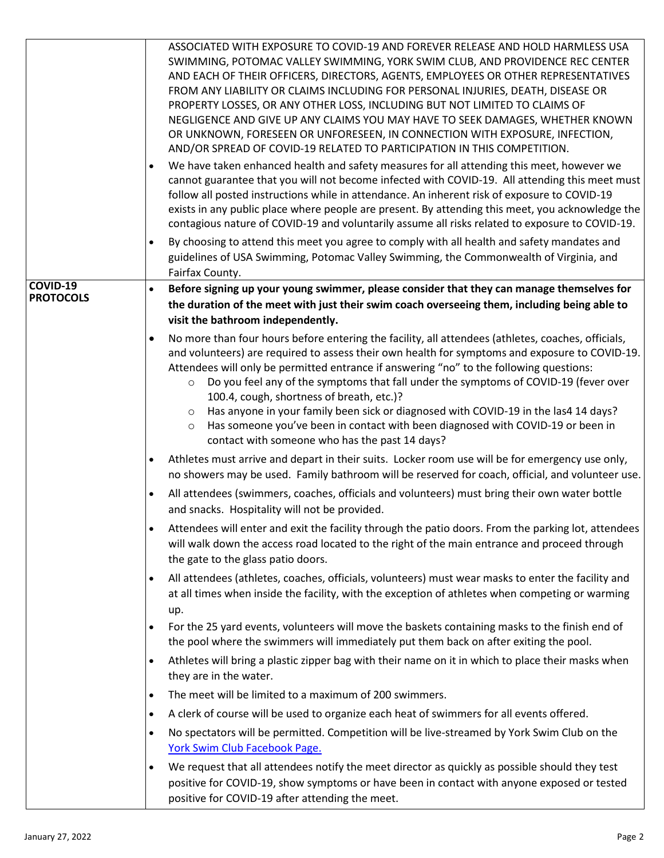|                              | ASSOCIATED WITH EXPOSURE TO COVID-19 AND FOREVER RELEASE AND HOLD HARMLESS USA<br>SWIMMING, POTOMAC VALLEY SWIMMING, YORK SWIM CLUB, AND PROVIDENCE REC CENTER<br>AND EACH OF THEIR OFFICERS, DIRECTORS, AGENTS, EMPLOYEES OR OTHER REPRESENTATIVES<br>FROM ANY LIABILITY OR CLAIMS INCLUDING FOR PERSONAL INJURIES, DEATH, DISEASE OR<br>PROPERTY LOSSES, OR ANY OTHER LOSS, INCLUDING BUT NOT LIMITED TO CLAIMS OF<br>NEGLIGENCE AND GIVE UP ANY CLAIMS YOU MAY HAVE TO SEEK DAMAGES, WHETHER KNOWN<br>OR UNKNOWN, FORESEEN OR UNFORESEEN, IN CONNECTION WITH EXPOSURE, INFECTION,<br>AND/OR SPREAD OF COVID-19 RELATED TO PARTICIPATION IN THIS COMPETITION.<br>We have taken enhanced health and safety measures for all attending this meet, however we<br>$\bullet$<br>cannot guarantee that you will not become infected with COVID-19. All attending this meet must<br>follow all posted instructions while in attendance. An inherent risk of exposure to COVID-19<br>exists in any public place where people are present. By attending this meet, you acknowledge the<br>contagious nature of COVID-19 and voluntarily assume all risks related to exposure to COVID-19.<br>By choosing to attend this meet you agree to comply with all health and safety mandates and<br>$\bullet$<br>guidelines of USA Swimming, Potomac Valley Swimming, the Commonwealth of Virginia, and |  |
|------------------------------|------------------------------------------------------------------------------------------------------------------------------------------------------------------------------------------------------------------------------------------------------------------------------------------------------------------------------------------------------------------------------------------------------------------------------------------------------------------------------------------------------------------------------------------------------------------------------------------------------------------------------------------------------------------------------------------------------------------------------------------------------------------------------------------------------------------------------------------------------------------------------------------------------------------------------------------------------------------------------------------------------------------------------------------------------------------------------------------------------------------------------------------------------------------------------------------------------------------------------------------------------------------------------------------------------------------------------------------------------------------------------------------|--|
|                              | Fairfax County.                                                                                                                                                                                                                                                                                                                                                                                                                                                                                                                                                                                                                                                                                                                                                                                                                                                                                                                                                                                                                                                                                                                                                                                                                                                                                                                                                                          |  |
| COVID-19<br><b>PROTOCOLS</b> | Before signing up your young swimmer, please consider that they can manage themselves for<br>$\bullet$<br>the duration of the meet with just their swim coach overseeing them, including being able to<br>visit the bathroom independently.                                                                                                                                                                                                                                                                                                                                                                                                                                                                                                                                                                                                                                                                                                                                                                                                                                                                                                                                                                                                                                                                                                                                              |  |
|                              | No more than four hours before entering the facility, all attendees (athletes, coaches, officials,<br>$\bullet$<br>and volunteers) are required to assess their own health for symptoms and exposure to COVID-19.<br>Attendees will only be permitted entrance if answering "no" to the following questions:<br>Do you feel any of the symptoms that fall under the symptoms of COVID-19 (fever over<br>$\circ$<br>100.4, cough, shortness of breath, etc.)?<br>Has anyone in your family been sick or diagnosed with COVID-19 in the las4 14 days?<br>$\circ$<br>Has someone you've been in contact with been diagnosed with COVID-19 or been in<br>$\circ$<br>contact with someone who has the past 14 days?                                                                                                                                                                                                                                                                                                                                                                                                                                                                                                                                                                                                                                                                           |  |
|                              | Athletes must arrive and depart in their suits. Locker room use will be for emergency use only,<br>$\bullet$<br>no showers may be used. Family bathroom will be reserved for coach, official, and volunteer use.                                                                                                                                                                                                                                                                                                                                                                                                                                                                                                                                                                                                                                                                                                                                                                                                                                                                                                                                                                                                                                                                                                                                                                         |  |
|                              | All attendees (swimmers, coaches, officials and volunteers) must bring their own water bottle<br>$\bullet$<br>and snacks. Hospitality will not be provided.                                                                                                                                                                                                                                                                                                                                                                                                                                                                                                                                                                                                                                                                                                                                                                                                                                                                                                                                                                                                                                                                                                                                                                                                                              |  |
|                              | Attendees will enter and exit the facility through the patio doors. From the parking lot, attendees<br>$\bullet$<br>will walk down the access road located to the right of the main entrance and proceed through<br>the gate to the glass patio doors.                                                                                                                                                                                                                                                                                                                                                                                                                                                                                                                                                                                                                                                                                                                                                                                                                                                                                                                                                                                                                                                                                                                                   |  |
|                              | All attendees (athletes, coaches, officials, volunteers) must wear masks to enter the facility and<br>$\bullet$<br>at all times when inside the facility, with the exception of athletes when competing or warming<br>up.                                                                                                                                                                                                                                                                                                                                                                                                                                                                                                                                                                                                                                                                                                                                                                                                                                                                                                                                                                                                                                                                                                                                                                |  |
|                              | For the 25 yard events, volunteers will move the baskets containing masks to the finish end of<br>$\bullet$<br>the pool where the swimmers will immediately put them back on after exiting the pool.                                                                                                                                                                                                                                                                                                                                                                                                                                                                                                                                                                                                                                                                                                                                                                                                                                                                                                                                                                                                                                                                                                                                                                                     |  |
|                              | Athletes will bring a plastic zipper bag with their name on it in which to place their masks when<br>$\bullet$<br>they are in the water.                                                                                                                                                                                                                                                                                                                                                                                                                                                                                                                                                                                                                                                                                                                                                                                                                                                                                                                                                                                                                                                                                                                                                                                                                                                 |  |
|                              | The meet will be limited to a maximum of 200 swimmers.<br>$\bullet$                                                                                                                                                                                                                                                                                                                                                                                                                                                                                                                                                                                                                                                                                                                                                                                                                                                                                                                                                                                                                                                                                                                                                                                                                                                                                                                      |  |
|                              | A clerk of course will be used to organize each heat of swimmers for all events offered.<br>$\bullet$                                                                                                                                                                                                                                                                                                                                                                                                                                                                                                                                                                                                                                                                                                                                                                                                                                                                                                                                                                                                                                                                                                                                                                                                                                                                                    |  |
|                              | No spectators will be permitted. Competition will be live-streamed by York Swim Club on the<br>$\bullet$<br>York Swim Club Facebook Page.                                                                                                                                                                                                                                                                                                                                                                                                                                                                                                                                                                                                                                                                                                                                                                                                                                                                                                                                                                                                                                                                                                                                                                                                                                                |  |
|                              | We request that all attendees notify the meet director as quickly as possible should they test<br>$\bullet$<br>positive for COVID-19, show symptoms or have been in contact with anyone exposed or tested<br>positive for COVID-19 after attending the meet.                                                                                                                                                                                                                                                                                                                                                                                                                                                                                                                                                                                                                                                                                                                                                                                                                                                                                                                                                                                                                                                                                                                             |  |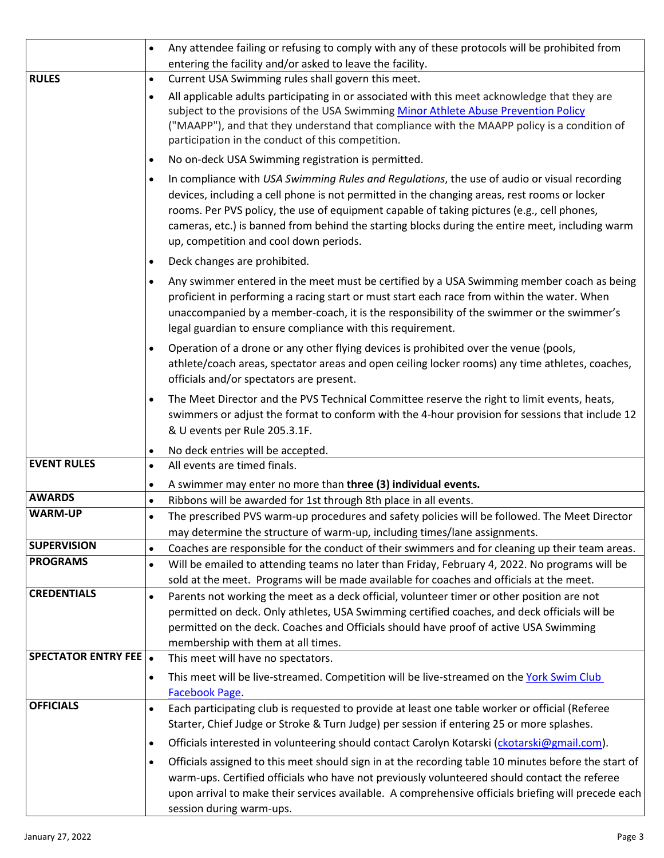|                              | Any attendee failing or refusing to comply with any of these protocols will be prohibited from                                                                                                                                                                                                                                                                                                                                                      |  |  |  |
|------------------------------|-----------------------------------------------------------------------------------------------------------------------------------------------------------------------------------------------------------------------------------------------------------------------------------------------------------------------------------------------------------------------------------------------------------------------------------------------------|--|--|--|
| <b>RULES</b>                 | entering the facility and/or asked to leave the facility.<br>Current USA Swimming rules shall govern this meet.                                                                                                                                                                                                                                                                                                                                     |  |  |  |
|                              | $\bullet$<br>All applicable adults participating in or associated with this meet acknowledge that they are<br>$\bullet$<br>subject to the provisions of the USA Swimming Minor Athlete Abuse Prevention Policy<br>("MAAPP"), and that they understand that compliance with the MAAPP policy is a condition of<br>participation in the conduct of this competition.                                                                                  |  |  |  |
|                              | No on-deck USA Swimming registration is permitted.<br>$\bullet$                                                                                                                                                                                                                                                                                                                                                                                     |  |  |  |
|                              | In compliance with USA Swimming Rules and Regulations, the use of audio or visual recording<br>$\bullet$<br>devices, including a cell phone is not permitted in the changing areas, rest rooms or locker<br>rooms. Per PVS policy, the use of equipment capable of taking pictures (e.g., cell phones,<br>cameras, etc.) is banned from behind the starting blocks during the entire meet, including warm<br>up, competition and cool down periods. |  |  |  |
|                              | Deck changes are prohibited.<br>$\bullet$                                                                                                                                                                                                                                                                                                                                                                                                           |  |  |  |
|                              | Any swimmer entered in the meet must be certified by a USA Swimming member coach as being<br>$\bullet$<br>proficient in performing a racing start or must start each race from within the water. When<br>unaccompanied by a member-coach, it is the responsibility of the swimmer or the swimmer's<br>legal guardian to ensure compliance with this requirement.                                                                                    |  |  |  |
|                              | Operation of a drone or any other flying devices is prohibited over the venue (pools,<br>$\bullet$<br>athlete/coach areas, spectator areas and open ceiling locker rooms) any time athletes, coaches,<br>officials and/or spectators are present.                                                                                                                                                                                                   |  |  |  |
|                              | The Meet Director and the PVS Technical Committee reserve the right to limit events, heats,<br>$\bullet$<br>swimmers or adjust the format to conform with the 4-hour provision for sessions that include 12<br>& U events per Rule 205.3.1F.                                                                                                                                                                                                        |  |  |  |
|                              | No deck entries will be accepted.<br>$\bullet$                                                                                                                                                                                                                                                                                                                                                                                                      |  |  |  |
| <b>EVENT RULES</b>           | All events are timed finals.<br>$\bullet$                                                                                                                                                                                                                                                                                                                                                                                                           |  |  |  |
| <b>AWARDS</b>                | A swimmer may enter no more than three (3) individual events.<br>$\bullet$                                                                                                                                                                                                                                                                                                                                                                          |  |  |  |
| <b>WARM-UP</b>               | Ribbons will be awarded for 1st through 8th place in all events.<br>$\bullet$                                                                                                                                                                                                                                                                                                                                                                       |  |  |  |
|                              | The prescribed PVS warm-up procedures and safety policies will be followed. The Meet Director<br>$\bullet$<br>may determine the structure of warm-up, including times/lane assignments.                                                                                                                                                                                                                                                             |  |  |  |
| <b>SUPERVISION</b>           | Coaches are responsible for the conduct of their swimmers and for cleaning up their team areas.<br>$\bullet$                                                                                                                                                                                                                                                                                                                                        |  |  |  |
| <b>PROGRAMS</b>              | Will be emailed to attending teams no later than Friday, February 4, 2022. No programs will be<br>sold at the meet. Programs will be made available for coaches and officials at the meet.                                                                                                                                                                                                                                                          |  |  |  |
| <b>CREDENTIALS</b>           | Parents not working the meet as a deck official, volunteer timer or other position are not<br>$\bullet$<br>permitted on deck. Only athletes, USA Swimming certified coaches, and deck officials will be<br>permitted on the deck. Coaches and Officials should have proof of active USA Swimming<br>membership with them at all times.                                                                                                              |  |  |  |
| <b>SPECTATOR ENTRY FEE .</b> | This meet will have no spectators.                                                                                                                                                                                                                                                                                                                                                                                                                  |  |  |  |
|                              | This meet will be live-streamed. Competition will be live-streamed on the York Swim Club<br>$\bullet$<br>Facebook Page.                                                                                                                                                                                                                                                                                                                             |  |  |  |
| <b>OFFICIALS</b>             | Each participating club is requested to provide at least one table worker or official (Referee<br>$\bullet$<br>Starter, Chief Judge or Stroke & Turn Judge) per session if entering 25 or more splashes.                                                                                                                                                                                                                                            |  |  |  |
|                              | Officials interested in volunteering should contact Carolyn Kotarski (ckotarski@gmail.com).<br>$\bullet$                                                                                                                                                                                                                                                                                                                                            |  |  |  |
|                              | Officials assigned to this meet should sign in at the recording table 10 minutes before the start of<br>$\bullet$<br>warm-ups. Certified officials who have not previously volunteered should contact the referee<br>upon arrival to make their services available. A comprehensive officials briefing will precede each<br>session during warm-ups.                                                                                                |  |  |  |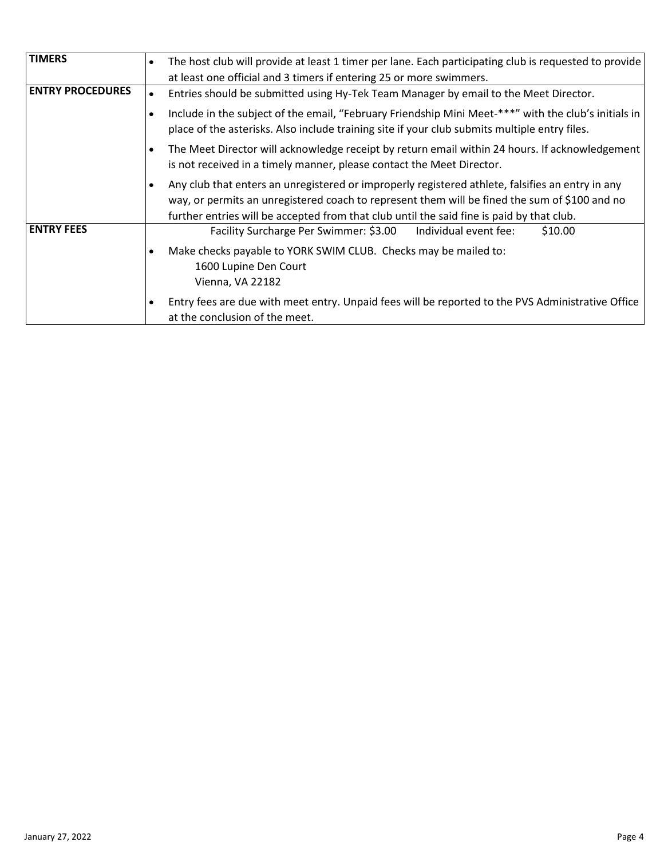| <b>TIMERS</b>           | The host club will provide at least 1 timer per lane. Each participating club is requested to provide<br>at least one official and 3 timers if entering 25 or more swimmers.                                                                                                                                                                                                     |  |  |  |  |
|-------------------------|----------------------------------------------------------------------------------------------------------------------------------------------------------------------------------------------------------------------------------------------------------------------------------------------------------------------------------------------------------------------------------|--|--|--|--|
| <b>ENTRY PROCEDURES</b> | Entries should be submitted using Hy-Tek Team Manager by email to the Meet Director.                                                                                                                                                                                                                                                                                             |  |  |  |  |
|                         | Include in the subject of the email, "February Friendship Mini Meet-***" with the club's initials in<br>place of the asterisks. Also include training site if your club submits multiple entry files.<br>The Meet Director will acknowledge receipt by return email within 24 hours. If acknowledgement<br>is not received in a timely manner, please contact the Meet Director. |  |  |  |  |
|                         |                                                                                                                                                                                                                                                                                                                                                                                  |  |  |  |  |
|                         | Any club that enters an unregistered or improperly registered athlete, falsifies an entry in any<br>way, or permits an unregistered coach to represent them will be fined the sum of \$100 and no<br>further entries will be accepted from that club until the said fine is paid by that club.                                                                                   |  |  |  |  |
| <b>ENTRY FEES</b>       | Facility Surcharge Per Swimmer: \$3.00<br>Individual event fee:<br>\$10.00                                                                                                                                                                                                                                                                                                       |  |  |  |  |
|                         | Make checks payable to YORK SWIM CLUB. Checks may be mailed to:<br>1600 Lupine Den Court<br>Vienna, VA 22182                                                                                                                                                                                                                                                                     |  |  |  |  |
|                         | Entry fees are due with meet entry. Unpaid fees will be reported to the PVS Administrative Office<br>at the conclusion of the meet.                                                                                                                                                                                                                                              |  |  |  |  |